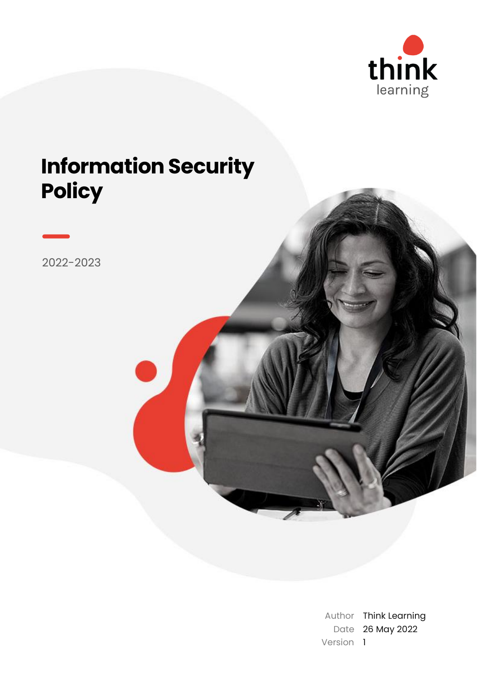

# **Information Security Policy**

2022-2023

Author Think Learning Date 26 May 2022 Version 1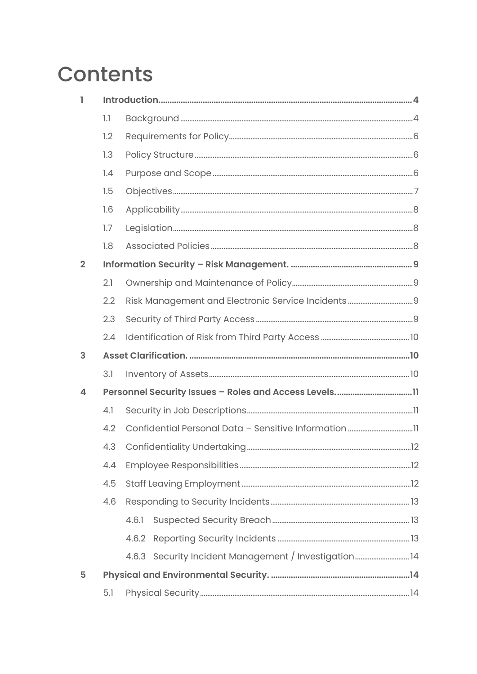# **Contents**

| ı              |     |                                                      |  |  |
|----------------|-----|------------------------------------------------------|--|--|
|                | 1.1 |                                                      |  |  |
|                | 1.2 |                                                      |  |  |
|                | 1.3 |                                                      |  |  |
|                | 1.4 |                                                      |  |  |
|                | 1.5 |                                                      |  |  |
|                | 1.6 |                                                      |  |  |
|                | 1.7 |                                                      |  |  |
|                | 1.8 |                                                      |  |  |
| $\overline{2}$ |     |                                                      |  |  |
|                | 2.1 |                                                      |  |  |
|                | 2.2 |                                                      |  |  |
|                | 2.3 |                                                      |  |  |
|                | 2.4 |                                                      |  |  |
| 3              |     |                                                      |  |  |
|                | 3.1 |                                                      |  |  |
| 4              |     |                                                      |  |  |
|                | 4.1 |                                                      |  |  |
|                | 4.2 |                                                      |  |  |
|                | 4.3 |                                                      |  |  |
|                | 4.4 |                                                      |  |  |
|                | 4.5 |                                                      |  |  |
|                | 4.6 |                                                      |  |  |
|                |     | 4.6.1                                                |  |  |
|                |     |                                                      |  |  |
|                |     |                                                      |  |  |
|                |     | 4.6.3 Security Incident Management / Investigation14 |  |  |
| 5              |     |                                                      |  |  |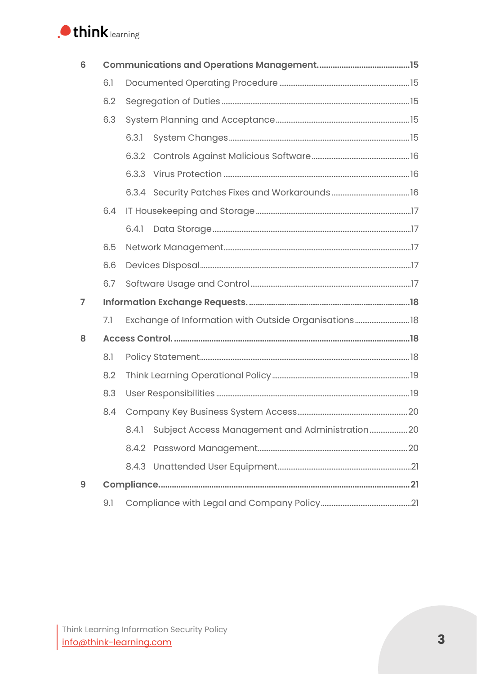

| 6 |     |       |                                                        |  |  |  |
|---|-----|-------|--------------------------------------------------------|--|--|--|
|   | 6.1 |       |                                                        |  |  |  |
|   | 6.2 |       |                                                        |  |  |  |
|   | 6.3 |       |                                                        |  |  |  |
|   |     | 6.3.1 |                                                        |  |  |  |
|   |     |       |                                                        |  |  |  |
|   |     |       |                                                        |  |  |  |
|   |     |       |                                                        |  |  |  |
|   | 6.4 |       |                                                        |  |  |  |
|   |     | 6.4.1 |                                                        |  |  |  |
|   | 6.5 |       |                                                        |  |  |  |
|   | 6.6 |       |                                                        |  |  |  |
|   | 6.7 |       |                                                        |  |  |  |
| 7 |     |       |                                                        |  |  |  |
|   | 7.1 |       | Exchange of Information with Outside Organisations  18 |  |  |  |
| 8 |     |       |                                                        |  |  |  |
|   | 8.1 |       |                                                        |  |  |  |
|   | 8.2 |       |                                                        |  |  |  |
|   | 8.3 |       |                                                        |  |  |  |
|   | 8.4 |       |                                                        |  |  |  |
|   |     | 8.4.1 |                                                        |  |  |  |
|   |     |       |                                                        |  |  |  |
|   |     |       |                                                        |  |  |  |
| 9 |     |       |                                                        |  |  |  |
|   | 9.1 |       |                                                        |  |  |  |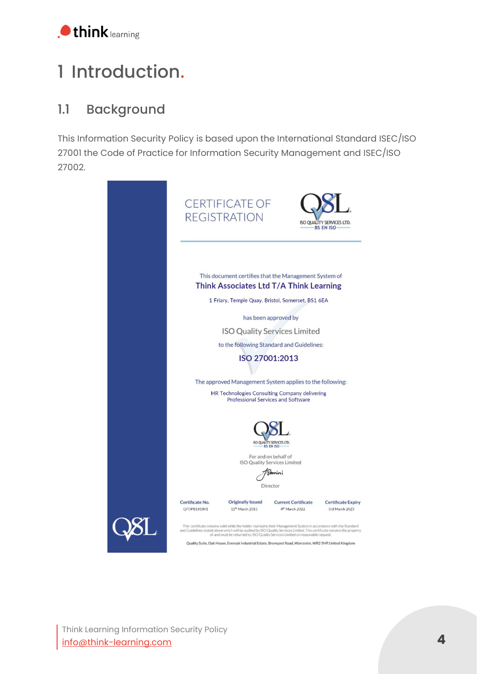

# <span id="page-3-0"></span>1 Introduction.

## <span id="page-3-1"></span>1.1 Background

This Information Security Policy is based upon the International Standard ISEC/ISO 27001 the Code of Practice for Information Security Management and ISEC/ISO 27002.

| <b>CERTIFICATE OF</b><br><b>REGISTRATION</b><br>ISO QUALITY SERVICES LTD.<br><b>BS EN ISO</b>                                                                                                                                                                                                                                     |  |  |  |  |
|-----------------------------------------------------------------------------------------------------------------------------------------------------------------------------------------------------------------------------------------------------------------------------------------------------------------------------------|--|--|--|--|
| This document certifies that the Management System of<br>Think Associates Ltd T/A Think Learning<br>1 Friary, Temple Quay, Bristol, Somerset, BS1 6EA                                                                                                                                                                             |  |  |  |  |
| has been approved by                                                                                                                                                                                                                                                                                                              |  |  |  |  |
| <b>ISO Quality Services Limited</b>                                                                                                                                                                                                                                                                                               |  |  |  |  |
| to the following Standard and Guidelines:                                                                                                                                                                                                                                                                                         |  |  |  |  |
| ISO 27001:2013                                                                                                                                                                                                                                                                                                                    |  |  |  |  |
|                                                                                                                                                                                                                                                                                                                                   |  |  |  |  |
| The approved Management System applies to the following:                                                                                                                                                                                                                                                                          |  |  |  |  |
| HR Technologies Consulting Company delivering<br><b>Professional Services and Software</b>                                                                                                                                                                                                                                        |  |  |  |  |
| ISO QUALITY SERVICES LTD.<br><b>BS EN ISO</b><br>For and on behalf of<br><b>ISO Quality Services Limited</b><br>Director                                                                                                                                                                                                          |  |  |  |  |
| Certificate No.<br><b>Originally Issued</b><br><b>Current Certificate</b><br><b>Certificate Expiry</b>                                                                                                                                                                                                                            |  |  |  |  |
| QFOPB141801<br>11 <sup>th</sup> March 2015<br>4 <sup>th</sup> March 2022<br>3rd March 2023                                                                                                                                                                                                                                        |  |  |  |  |
| This certificate remains valid while the holder maintains their Management System in accordance with the Standard<br>and Guidelines stated above which will be audited by ISO Quality Services Limited. This certificate remains the property<br>of, and must be returned to, ISO Quality Services Limited on reasonable request. |  |  |  |  |
| Quality Suite, Oak House, Everoak Industrial Estate, Bromyard Road, Worcester, WR2 5HP, United Kingdom                                                                                                                                                                                                                            |  |  |  |  |

Think Learning Information Security Policy [info@think-learning.com](mailto:info@think-learning.com) **4**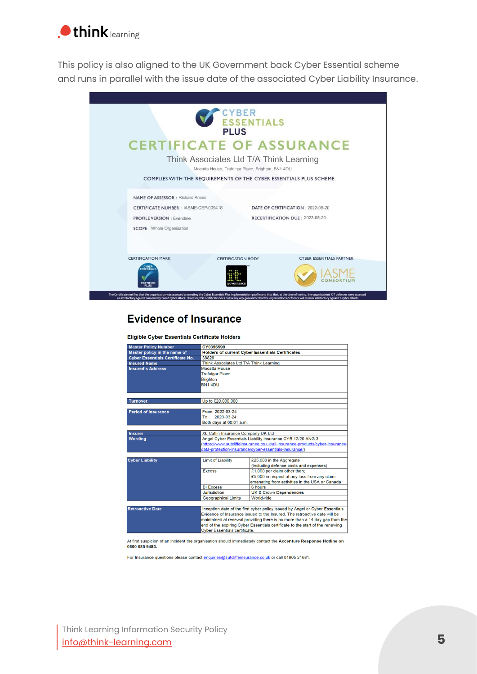

This policy is also aligned to the UK Government back Cyber Essential scheme and runs in parallel with the issue date of the associated Cyber Liability Insurance.



#### **Evidence of Insurance**

Eligible Cyber Essentials Certificate Holders

| <b>Master Policy Number</b>             | CY0396599                                                                                                                                                    |                                                        |  |  |
|-----------------------------------------|--------------------------------------------------------------------------------------------------------------------------------------------------------------|--------------------------------------------------------|--|--|
| Master policy in the name of            | <b>Holders of current Cyber Essentials Certificates</b>                                                                                                      |                                                        |  |  |
| <b>Cyber Essentials Certificate No.</b> | 38828                                                                                                                                                        |                                                        |  |  |
| <b>Insured Name</b>                     | Think Associates Ltd T/A Think Learning                                                                                                                      |                                                        |  |  |
| <b>Insured's Address</b>                | Mocatta House                                                                                                                                                |                                                        |  |  |
|                                         | <b>Trafalgar Place</b>                                                                                                                                       |                                                        |  |  |
|                                         | <b>Brighton</b>                                                                                                                                              |                                                        |  |  |
|                                         | <b>BN14DU</b>                                                                                                                                                |                                                        |  |  |
|                                         |                                                                                                                                                              |                                                        |  |  |
|                                         |                                                                                                                                                              |                                                        |  |  |
| <b>Turnover</b>                         | Up to £20,000,000                                                                                                                                            |                                                        |  |  |
|                                         |                                                                                                                                                              |                                                        |  |  |
| <b>Period of Insurance</b>              | From: 2022-03-24                                                                                                                                             |                                                        |  |  |
|                                         | 2023-03-24<br>To:                                                                                                                                            |                                                        |  |  |
|                                         | Both days at 00:01 a.m.                                                                                                                                      |                                                        |  |  |
|                                         |                                                                                                                                                              |                                                        |  |  |
| <b>Insurer</b>                          | XL Catlin Insurance Company UK Ltd                                                                                                                           |                                                        |  |  |
| <b>Wording</b>                          | Angel Cyber Essentials Liability insurance CYB 12/20 ANG.3                                                                                                   |                                                        |  |  |
|                                         | (https://www.sutcliffeinsurance.co.uk/all-insurance-products/cyber-insurance-                                                                                |                                                        |  |  |
|                                         |                                                                                                                                                              | data-protection-insurance/cyber-essentials-insurance/) |  |  |
|                                         |                                                                                                                                                              |                                                        |  |  |
| <b>Cyber Liability</b>                  | <b>Limit of Liability</b>                                                                                                                                    | £25,000 in the Aggregate                               |  |  |
|                                         |                                                                                                                                                              | (including defence costs and expenses)                 |  |  |
|                                         | <b>Excess</b>                                                                                                                                                | £1,000 per claim other than;                           |  |  |
|                                         |                                                                                                                                                              | £5,000 in respect of any loss from any claim           |  |  |
|                                         |                                                                                                                                                              | emanating from activities in the USA or Canada         |  |  |
|                                         | <b>BI Excess</b>                                                                                                                                             | 6 hours                                                |  |  |
|                                         | <b>Jurisdiction</b>                                                                                                                                          | <b>UK &amp; Crown Dependencies</b>                     |  |  |
|                                         | <b>Geographical Limits</b>                                                                                                                                   | Worldwide                                              |  |  |
| <b>Retroactive Date</b>                 |                                                                                                                                                              |                                                        |  |  |
|                                         | Inception date of the first cyber policy issued by Angel or Cyber Essentials<br>Evidence of Insurance issued to the Insured. The retroactive date will be    |                                                        |  |  |
|                                         |                                                                                                                                                              |                                                        |  |  |
|                                         | maintained at renewal providing there is no more than a 14 day gap from the<br>end of the expiring Cyber Essentials certificate to the start of the renewing |                                                        |  |  |
|                                         | <b>Cyber Essentials certificate.</b>                                                                                                                         |                                                        |  |  |
|                                         |                                                                                                                                                              |                                                        |  |  |

At first suspicion of an incident the organisation should immediately contact the Accenture Response Hotline on 0800 085 9483

For Insurance questions please contact enquiries@sutcliffeinsurance.co.uk or call 01905 21681.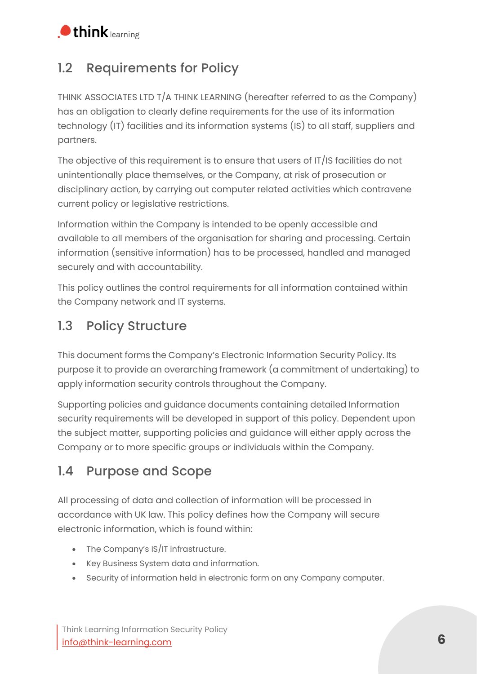

## <span id="page-5-0"></span>1.2 Requirements for Policy

THINK ASSOCIATES LTD T/A THINK LEARNING (hereafter referred to as the Company) has an obligation to clearly define requirements for the use of its information technology (IT) facilities and its information systems (IS) to all staff, suppliers and partners.

The objective of this requirement is to ensure that users of IT/IS facilities do not unintentionally place themselves, or the Company, at risk of prosecution or disciplinary action, by carrying out computer related activities which contravene current policy or legislative restrictions.

Information within the Company is intended to be openly accessible and available to all members of the organisation for sharing and processing. Certain information (sensitive information) has to be processed, handled and managed securely and with accountability.

This policy outlines the control requirements for all information contained within the Company network and IT systems.

#### <span id="page-5-1"></span>1.3 Policy Structure

This document forms the Company's Electronic Information Security Policy. Its purpose it to provide an overarching framework (a commitment of undertaking) to apply information security controls throughout the Company.

Supporting policies and guidance documents containing detailed Information security requirements will be developed in support of this policy. Dependent upon the subject matter, supporting policies and guidance will either apply across the Company or to more specific groups or individuals within the Company.

#### <span id="page-5-2"></span>1.4 Purpose and Scope

All processing of data and collection of information will be processed in accordance with UK law. This policy defines how the Company will secure electronic information, which is found within:

- The Company's IS/IT infrastructure.
- Key Business System data and information.
- Security of information held in electronic form on any Company computer.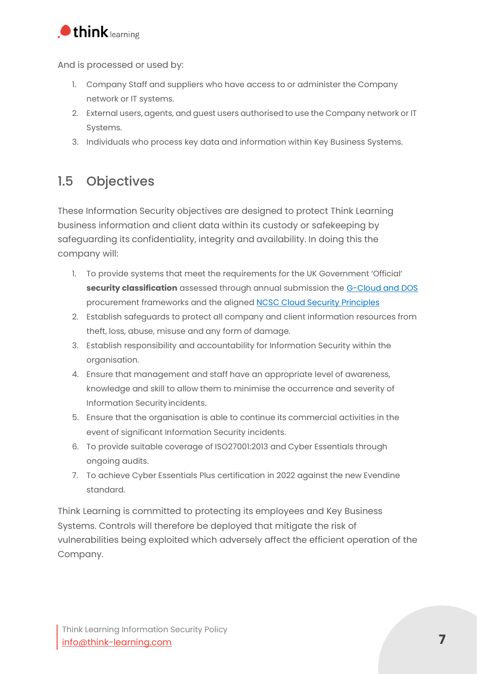

And is processed or used by:

- 1. Company Staff and suppliers who have access to or administer the Company network or IT systems.
- 2. External users, agents, and guest users authorised to use the Company network or IT Systems.
- 3. Individuals who process key data and information within Key Business Systems.

#### <span id="page-6-0"></span>1.5 Objectives

These Information Security objectives are designed to protect Think Learning business information and client data within its custody or safekeeping by safeguarding its confidentiality, integrity and availability. In doing this the company will:

- 1. To provide systems that meet the requirements for the UK Government 'Official' **security classification** assessed through annual submission the [G-Cloud and DOS](https://www.digitalmarketplace.service.gov.uk/) procurement frameworks and the aligned [NCSC Cloud Security Principles](https://www.ncsc.gov.uk/collection/cloud-security/implementing-the-cloud-security-principles)
- 2. Establish safeguards to protect all company and client information resources from theft, loss, abuse, misuse and any form of damage.
- 3. Establish responsibility and accountability for Information Security within the organisation.
- 4. Ensure that management and staff have an appropriate level of awareness, knowledge and skill to allow them to minimise the occurrence and severity of Information Securityincidents.
- 5. Ensure that the organisation is able to continue its commercial activities in the event of significant Information Security incidents.
- 6. To provide suitable coverage of ISO27001:2013 and Cyber Essentials through ongoing audits.
- 7. To achieve Cyber Essentials Plus certification in 2022 against the new Evendine standard.

Think Learning is committed to protecting its employees and Key Business Systems. Controls will therefore be deployed that mitigate the risk of vulnerabilities being exploited which adversely affect the efficient operation of the Company.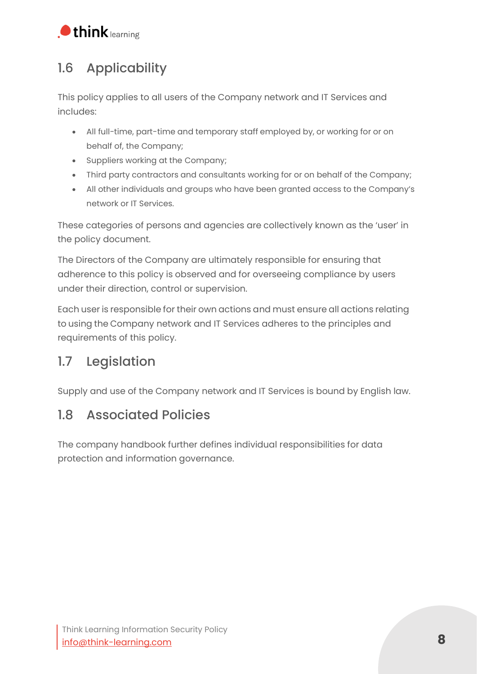

## <span id="page-7-0"></span>1.6 Applicability

This policy applies to all users of the Company network and IT Services and includes:

- All full-time, part-time and temporary staff employed by, or working for or on behalf of, the Company;
- Suppliers working at the Company;
- Third party contractors and consultants working for or on behalf of the Company;
- All other individuals and groups who have been granted access to the Company's network or IT Services.

These categories of persons and agencies are collectively known as the 'user' in the policy document.

The Directors of the Company are ultimately responsible for ensuring that adherence to this policy is observed and for overseeing compliance by users under their direction, control or supervision.

Each user is responsible for their own actions and must ensure all actions relating to using the Company network and IT Services adheres to the principles and requirements of this policy.

### <span id="page-7-1"></span>1.7 Legislation

Supply and use of the Company network and IT Services is bound by English law.

#### <span id="page-7-2"></span>1.8 Associated Policies

The company handbook further defines individual responsibilities for data protection and information governance.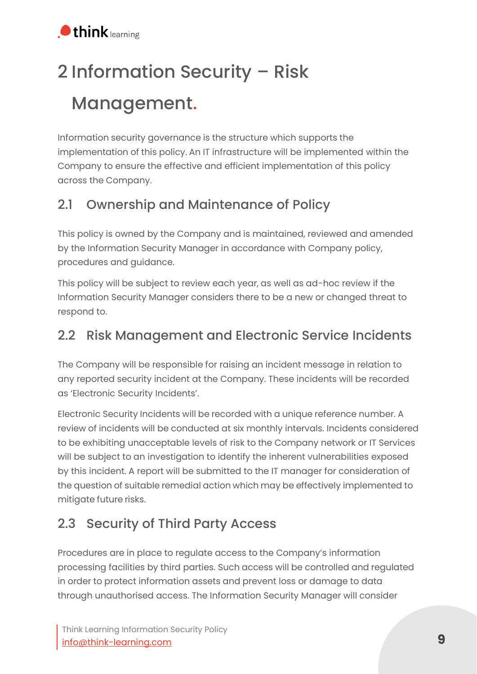# <span id="page-8-0"></span>2 Information Security – Risk Management.

Information security governance is the structure which supports the implementation of this policy. An IT infrastructure will be implemented within the Company to ensure the effective and efficient implementation of this policy across the Company.

## <span id="page-8-1"></span>2.1 Ownership and Maintenance of Policy

This policy is owned by the Company and is maintained, reviewed and amended by the Information Security Manager in accordance with Company policy, procedures and guidance.

This policy will be subject to review each year, as well as ad-hoc review if the Information Security Manager considers there to be a new or changed threat to respond to.

#### <span id="page-8-2"></span>2.2 Risk Management and Electronic Service Incidents

The Company will be responsible for raising an incident message in relation to any reported security incident at the Company. These incidents will be recorded as 'Electronic Security Incidents'.

Electronic Security Incidents will be recorded with a unique reference number. A review of incidents will be conducted at six monthly intervals. Incidents considered to be exhibiting unacceptable levels of risk to the Company network or IT Services will be subject to an investigation to identify the inherent vulnerabilities exposed by this incident. A report will be submitted to the IT manager for consideration of the question of suitable remedial action which may be effectively implemented to mitigate future risks.

## <span id="page-8-3"></span>2.3 Security of Third Party Access

Procedures are in place to regulate access to the Company's information processing facilities by third parties. Such access will be controlled and regulated in order to protect information assets and prevent loss or damage to data through unauthorised access. The Information Security Manager will consider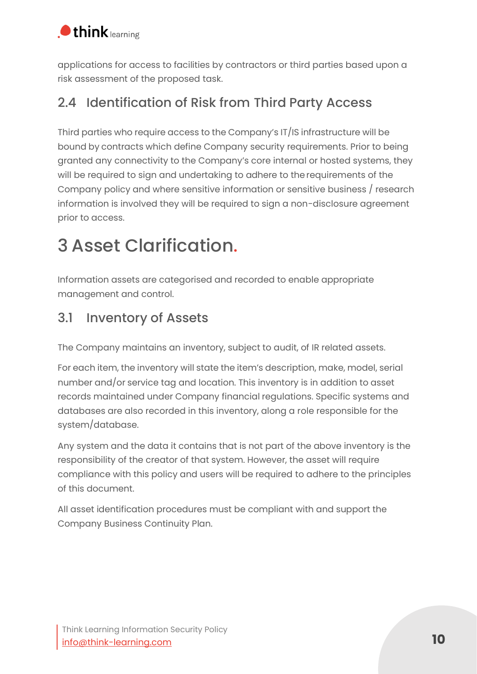

applications for access to facilities by contractors or third parties based upon a risk assessment of the proposed task.

### <span id="page-9-0"></span>2.4 Identification of Risk from Third Party Access

Third parties who require access to the Company's IT/IS infrastructure will be bound by contracts which define Company security requirements. Prior to being granted any connectivity to the Company's core internal or hosted systems, they will be required to sign and undertaking to adhere to therequirements of the Company policy and where sensitive information or sensitive business / research information is involved they will be required to sign a non-disclosure agreement prior to access.

# <span id="page-9-1"></span>3 Asset Clarification.

Information assets are categorised and recorded to enable appropriate management and control.

#### <span id="page-9-2"></span>3.1 Inventory of Assets

The Company maintains an inventory, subject to audit, of IR related assets.

For each item, the inventory will state the item's description, make, model, serial number and/or service tag and location. This inventory is in addition to asset records maintained under Company financial regulations. Specific systems and databases are also recorded in this inventory, along a role responsible for the system/database.

Any system and the data it contains that is not part of the above inventory is the responsibility of the creator of that system. However, the asset will require compliance with this policy and users will be required to adhere to the principles of this document.

All asset identification procedures must be compliant with and support the Company Business Continuity Plan.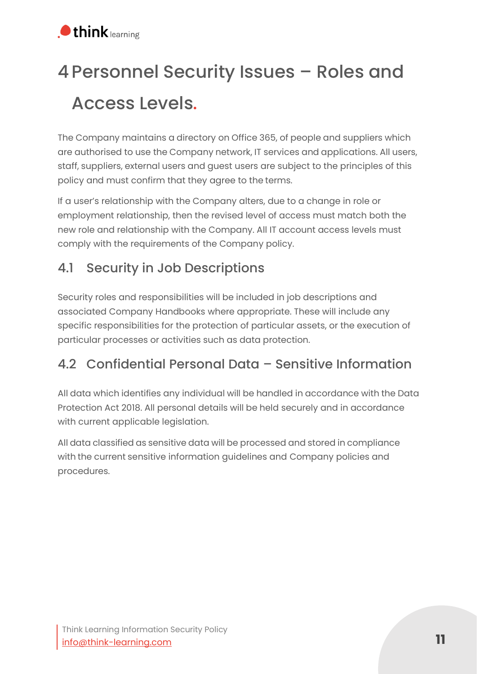# <span id="page-10-0"></span>4Personnel Security Issues – Roles and Access Levels.

The Company maintains a directory on Office 365, of people and suppliers which are authorised to use the Company network, IT services and applications. All users, staff, suppliers, external users and guest users are subject to the principles of this policy and must confirm that they agree to the terms.

If a user's relationship with the Company alters, due to a change in role or employment relationship, then the revised level of access must match both the new role and relationship with the Company. All IT account access levels must comply with the requirements of the Company policy.

## <span id="page-10-1"></span>4.1 Security in Job Descriptions

Security roles and responsibilities will be included in job descriptions and associated Company Handbooks where appropriate. These will include any specific responsibilities for the protection of particular assets, or the execution of particular processes or activities such as data protection.

### <span id="page-10-2"></span>4.2 Confidential Personal Data – Sensitive Information

All data which identifies any individual will be handled in accordance with the Data Protection Act 2018. All personal details will be held securely and in accordance with current applicable legislation.

All data classified as sensitive data will be processed and stored in compliance with the current sensitive information guidelines and Company policies and procedures.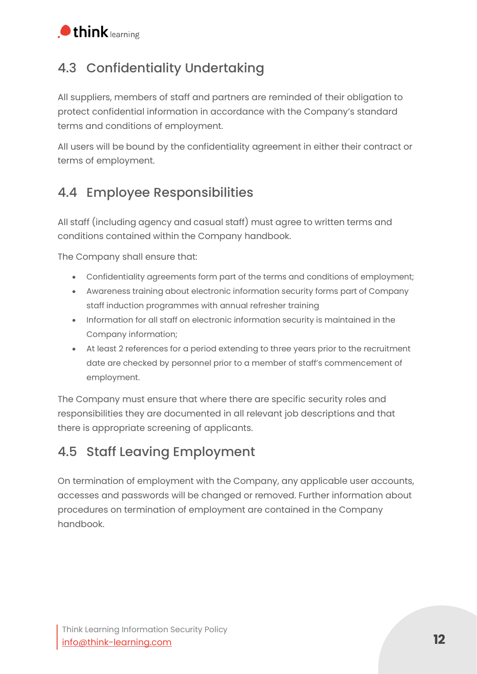

### <span id="page-11-0"></span>4.3 Confidentiality Undertaking

All suppliers, members of staff and partners are reminded of their obligation to protect confidential information in accordance with the Company's standard terms and conditions of employment.

All users will be bound by the confidentiality agreement in either their contract or terms of employment.

### <span id="page-11-1"></span>4.4 Employee Responsibilities

All staff (including agency and casual staff) must agree to written terms and conditions contained within the Company handbook.

The Company shall ensure that:

- Confidentiality agreements form part of the terms and conditions of employment;
- Awareness training about electronic information security forms part of Company staff induction programmes with annual refresher training
- Information for all staff on electronic information security is maintained in the Company information;
- At least 2 references for a period extending to three years prior to the recruitment date are checked by personnel prior to a member of staff's commencement of employment.

The Company must ensure that where there are specific security roles and responsibilities they are documented in all relevant job descriptions and that there is appropriate screening of applicants.

### <span id="page-11-2"></span>4.5 Staff Leaving Employment

On termination of employment with the Company, any applicable user accounts, accesses and passwords will be changed or removed. Further information about procedures on termination of employment are contained in the Company handbook.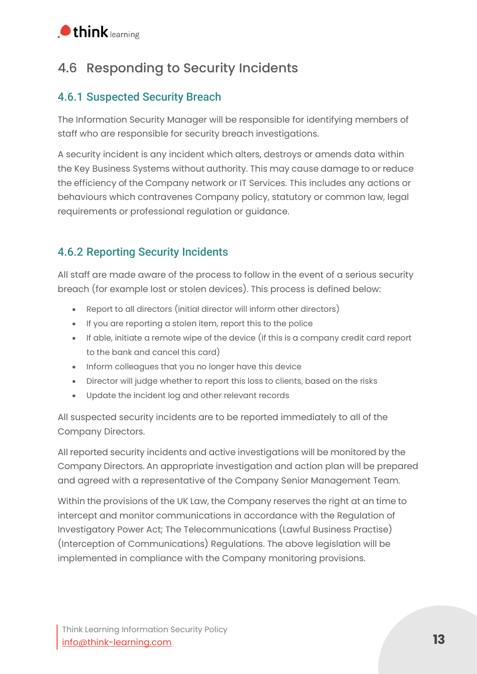

#### <span id="page-12-0"></span>4.6 Responding to Security Incidents

#### <span id="page-12-1"></span>4.6.1 Suspected Security Breach

The Information Security Manager will be responsible for identifying members of staff who are responsible for security breach investigations.

A security incident is any incident which alters, destroys or amends data within the Key Business Systems without authority. This may cause damage to or reduce the efficiency of the Company network or IT Services. This includes any actions or behaviours which contravenes Company policy, statutory or common law, legal requirements or professional regulation or guidance.

#### <span id="page-12-2"></span>4.6.2 Reporting Security Incidents

All staff are made aware of the process to follow in the event of a serious security breach (for example lost or stolen devices). This process is defined below:

- Report to all directors (initial director will inform other directors)
- If you are reporting a stolen item, report this to the police
- If able, initiate a remote wipe of the device (if this is a company credit card report to the bank and cancel this card)
- Inform colleagues that you no longer have this device
- Director will judge whether to report this loss to clients, based on the risks
- Update the incident log and other relevant records

All suspected security incidents are to be reported immediately to all of the Company Directors.

All reported security incidents and active investigations will be monitored by the Company Directors. An appropriate investigation and action plan will be prepared and agreed with a representative of the Company Senior Management Team.

Within the provisions of the UK Law, the Company reserves the right at an time to intercept and monitor communications in accordance with the Regulation of Investigatory Power Act; The Telecommunications (Lawful Business Practise) (Interception of Communications) Regulations. The above legislation will be implemented in compliance with the Company monitoring provisions.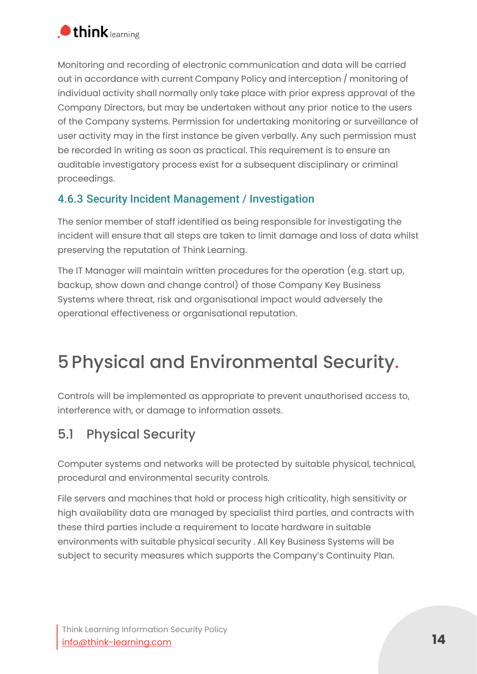

Monitoring and recording of electronic communication and data will be carried out in accordance with current Company Policy and interception / monitoring of individual activity shall normally only take place with prior express approval of the Company Directors, but may be undertaken without any prior notice to the users of the Company systems. Permission for undertaking monitoring or surveillance of user activity may in the first instance be given verbally. Any such permission must be recorded in writing as soon as practical. This requirement is to ensure an auditable investigatory process exist for a subsequent disciplinary or criminal proceedings.

#### <span id="page-13-0"></span>4.6.3 Security Incident Management / Investigation

The senior member of staff identified as being responsible for investigating the incident will ensure that all steps are taken to limit damage and loss of data whilst preserving the reputation of Think Learning.

The IT Manager will maintain written procedures for the operation (e.g. start up, backup, show down and change control) of those Company Key Business Systems where threat, risk and organisational impact would adversely the operational effectiveness or organisational reputation.

# <span id="page-13-1"></span>5 Physical and Environmental Security.

Controls will be implemented as appropriate to prevent unauthorised access to, interference with, or damage to information assets.

#### <span id="page-13-2"></span>5.1 Physical Security

Computer systems and networks will be protected by suitable physical, technical, procedural and environmental security controls.

File servers and machines that hold or process high criticality, high sensitivity or high availability data are managed by specialist third parties, and contracts with these third parties include a requirement to locate hardware in suitable environments with suitable physical security . All Key Business Systems will be subject to security measures which supports the Company's Continuity Plan.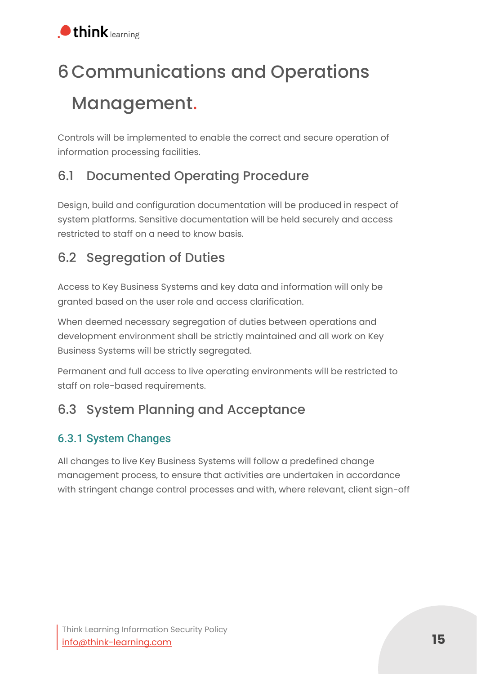# <span id="page-14-0"></span>6 Communications and Operations Management.

Controls will be implemented to enable the correct and secure operation of information processing facilities.

## <span id="page-14-1"></span>6.1 Documented Operating Procedure

Design, build and configuration documentation will be produced in respect of system platforms. Sensitive documentation will be held securely and access restricted to staff on a need to know basis.

## <span id="page-14-2"></span>6.2 Segregation of Duties

Access to Key Business Systems and key data and information will only be granted based on the user role and access clarification.

When deemed necessary segregation of duties between operations and development environment shall be strictly maintained and all work on Key Business Systems will be strictly segregated.

Permanent and full access to live operating environments will be restricted to staff on role-based requirements.

### <span id="page-14-3"></span>6.3 System Planning and Acceptance

#### <span id="page-14-4"></span>6.3.1 System Changes

All changes to live Key Business Systems will follow a predefined change management process, to ensure that activities are undertaken in accordance with stringent change control processes and with, where relevant, client sign-off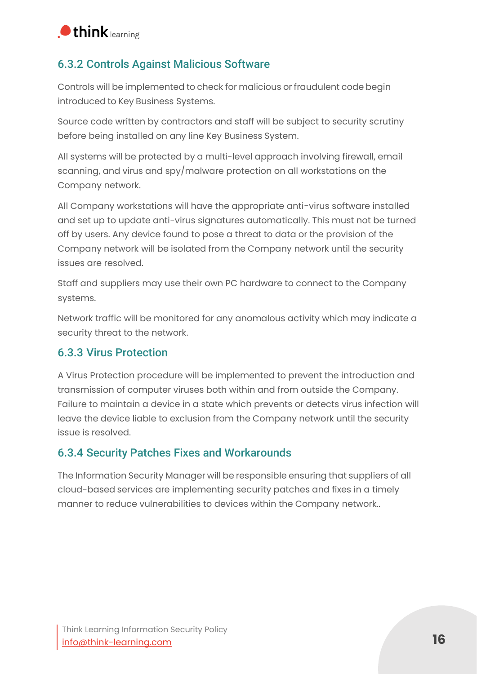

#### <span id="page-15-0"></span>6.3.2 Controls Against Malicious Software

Controls will be implemented to check for malicious or fraudulent code begin introduced to Key Business Systems.

Source code written by contractors and staff will be subject to security scrutiny before being installed on any line Key Business System.

All systems will be protected by a multi-level approach involving firewall, email scanning, and virus and spy/malware protection on all workstations on the Company network.

All Company workstations will have the appropriate anti-virus software installed and set up to update anti-virus signatures automatically. This must not be turned off by users. Any device found to pose a threat to data or the provision of the Company network will be isolated from the Company network until the security issues are resolved.

Staff and suppliers may use their own PC hardware to connect to the Company systems.

Network traffic will be monitored for any anomalous activity which may indicate a security threat to the network.

#### <span id="page-15-1"></span>6.3.3 Virus Protection

A Virus Protection procedure will be implemented to prevent the introduction and transmission of computer viruses both within and from outside the Company. Failure to maintain a device in a state which prevents or detects virus infection will leave the device liable to exclusion from the Company network until the security issue is resolved.

#### <span id="page-15-2"></span>6.3.4 Security Patches Fixes and Workarounds

The Information Security Manager will be responsible ensuring that suppliers of all cloud-based services are implementing security patches and fixes in a timely manner to reduce vulnerabilities to devices within the Company network..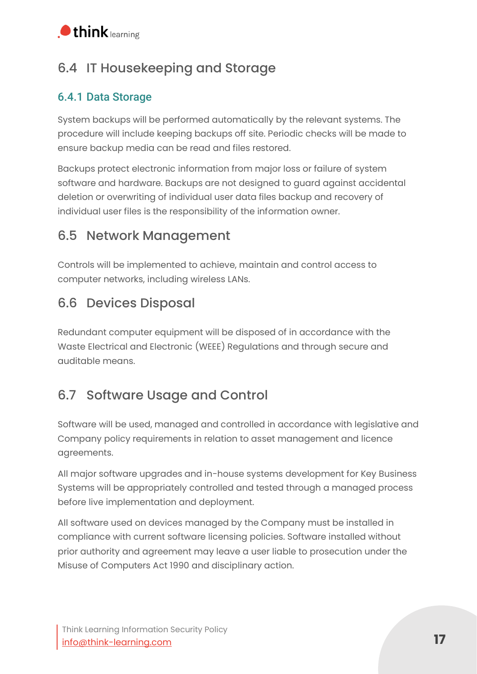

### <span id="page-16-0"></span>6.4 IT Housekeeping and Storage

#### <span id="page-16-1"></span>6.4.1 Data Storage

System backups will be performed automatically by the relevant systems. The procedure will include keeping backups off site. Periodic checks will be made to ensure backup media can be read and files restored.

Backups protect electronic information from major loss or failure of system software and hardware. Backups are not designed to guard against accidental deletion or overwriting of individual user data files backup and recovery of individual user files is the responsibility of the information owner.

#### <span id="page-16-2"></span>6.5 Network Management

Controls will be implemented to achieve, maintain and control access to computer networks, including wireless LANs.

#### <span id="page-16-3"></span>6.6 Devices Disposal

Redundant computer equipment will be disposed of in accordance with the Waste Electrical and Electronic (WEEE) Regulations and through secure and auditable means.

### <span id="page-16-4"></span>6.7 Software Usage and Control

Software will be used, managed and controlled in accordance with legislative and Company policy requirements in relation to asset management and licence agreements.

All major software upgrades and in-house systems development for Key Business Systems will be appropriately controlled and tested through a managed process before live implementation and deployment.

All software used on devices managed by the Company must be installed in compliance with current software licensing policies. Software installed without prior authority and agreement may leave a user liable to prosecution under the Misuse of Computers Act 1990 and disciplinary action.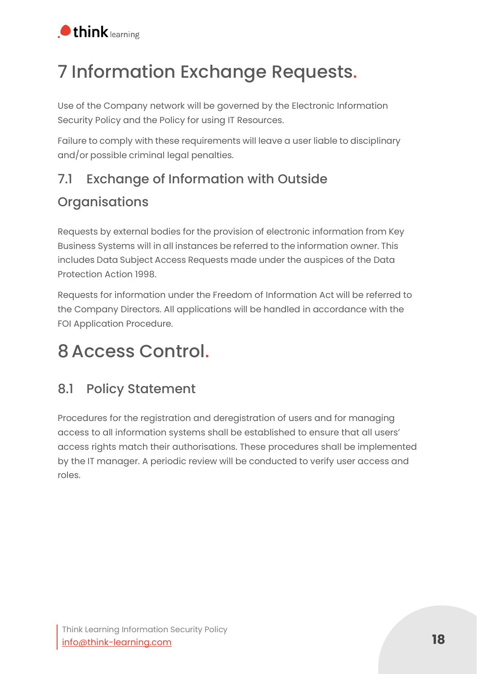

# <span id="page-17-0"></span>7 Information Exchange Requests.

Use of the Company network will be governed by the Electronic Information Security Policy and the Policy for using IT Resources.

Failure to comply with these requirements will leave a user liable to disciplinary and/or possible criminal legal penalties.

# <span id="page-17-1"></span>7.1 Exchange of Information with Outside **Organisations**

Requests by external bodies for the provision of electronic information from Key Business Systems will in all instances be referred to the information owner. This includes Data Subject Access Requests made under the auspices of the Data Protection Action 1998.

Requests for information under the Freedom of Information Act will be referred to the Company Directors. All applications will be handled in accordance with the FOI Application Procedure.

# <span id="page-17-2"></span>8Access Control.

### <span id="page-17-3"></span>8.1 Policy Statement

Procedures for the registration and deregistration of users and for managing access to all information systems shall be established to ensure that all users' access rights match their authorisations. These procedures shall be implemented by the IT manager. A periodic review will be conducted to verify user access and roles.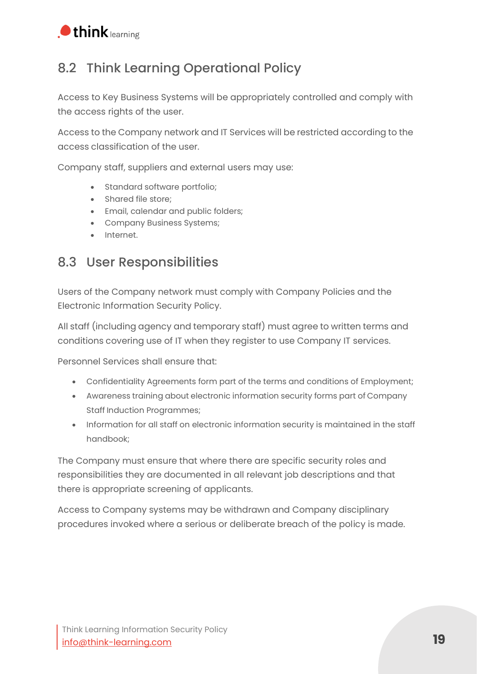

#### <span id="page-18-0"></span>8.2 Think Learning Operational Policy

Access to Key Business Systems will be appropriately controlled and comply with the access rights of the user.

Access to the Company network and IT Services will be restricted according to the access classification of the user.

Company staff, suppliers and external users may use:

- Standard software portfolio;
- Shared file store;
- Email, calendar and public folders;
- Company Business Systems;
- Internet.

#### <span id="page-18-1"></span>8.3 User Responsibilities

Users of the Company network must comply with Company Policies and the Electronic Information Security Policy.

All staff (including agency and temporary staff) must agree to written terms and conditions covering use of IT when they register to use Company IT services.

Personnel Services shall ensure that:

- Confidentiality Agreements form part of the terms and conditions of Employment;
- Awareness training about electronic information security forms part of Company Staff Induction Programmes;
- Information for all staff on electronic information security is maintained in the staff handbook;

The Company must ensure that where there are specific security roles and responsibilities they are documented in all relevant job descriptions and that there is appropriate screening of applicants.

Access to Company systems may be withdrawn and Company disciplinary procedures invoked where a serious or deliberate breach of the policy is made.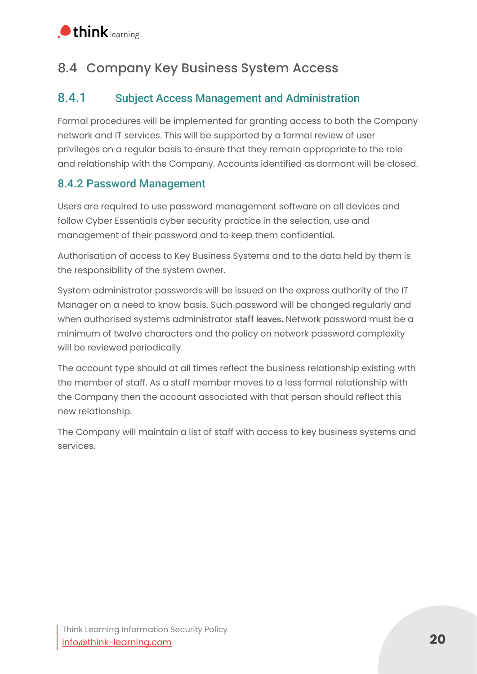#### <span id="page-19-0"></span>8.4 Company Key Business System Access

#### <span id="page-19-1"></span>8.4.1 Subject Access Management and Administration

Formal procedures will be implemented for granting access to both the Company network and IT services. This will be supported by a formal review of user privileges on a regular basis to ensure that they remain appropriate to the role and relationship with the Company. Accounts identified asdormant will be closed.

#### <span id="page-19-2"></span>8.4.2 Password Management

Users are required to use password management software on all devices and follow Cyber Essentials cyber security practice in the selection, use and management of their password and to keep them confidential.

Authorisation of access to Key Business Systems and to the data held by them is the responsibility of the system owner.

System administrator passwords will be issued on the express authority of the IT Manager on a need to know basis. Such password will be changed regularly and when authorised systems administrator staff leaves**.** Network password must be a minimum of twelve characters and the policy on network password complexity will be reviewed periodically.

The account type should at all times reflect the business relationship existing with the member of staff. As a staff member moves to a less formal relationship with the Company then the account associated with that person should reflect this new relationship.

The Company will maintain a list of staff with access to key business systems and services.